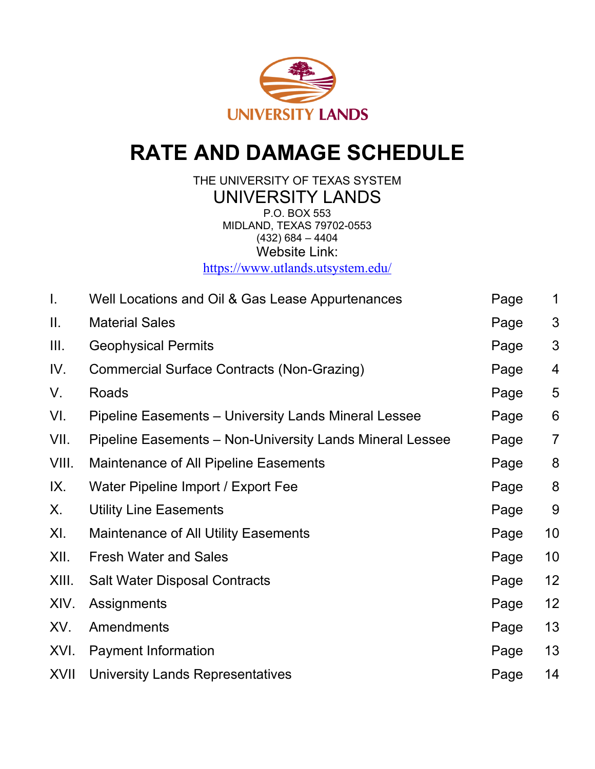

# **RATE AND DAMAGE SCHEDULE**

THE UNIVERSITY OF TEXAS SYSTEM UNIVERSITY LANDS P.O. BOX 553 MIDLAND, TEXAS 79702-0553  $(432)$  684 – 4404 Website Link:

<https://www.utlands.utsystem.edu/>

| I.          | Well Locations and Oil & Gas Lease Appurtenances            | Page | $\mathbf 1$    |
|-------------|-------------------------------------------------------------|------|----------------|
| Ш.          | <b>Material Sales</b>                                       | Page | 3              |
| III.        | <b>Geophysical Permits</b>                                  | Page | 3              |
| IV.         | <b>Commercial Surface Contracts (Non-Grazing)</b>           | Page | 4              |
| V.          | Roads                                                       | Page | 5              |
| VI.         | <b>Pipeline Easements – University Lands Mineral Lessee</b> | Page | 6              |
| VII.        | Pipeline Easements - Non-University Lands Mineral Lessee    | Page | $\overline{7}$ |
| VIII.       | <b>Maintenance of All Pipeline Easements</b>                | Page | 8              |
| IX.         | Water Pipeline Import / Export Fee                          | Page | 8              |
| Х.          | <b>Utility Line Easements</b>                               | Page | 9              |
| XI.         | <b>Maintenance of All Utility Easements</b>                 | Page | 10             |
| XII.        | <b>Fresh Water and Sales</b>                                | Page | 10             |
| XIII.       | <b>Salt Water Disposal Contracts</b>                        | Page | 12             |
| XIV.        | Assignments                                                 | Page | 12             |
| XV.         | Amendments                                                  | Page | 13             |
| XVI.        | <b>Payment Information</b>                                  | Page | 13             |
| <b>XVII</b> | University Lands Representatives                            | Page | 14             |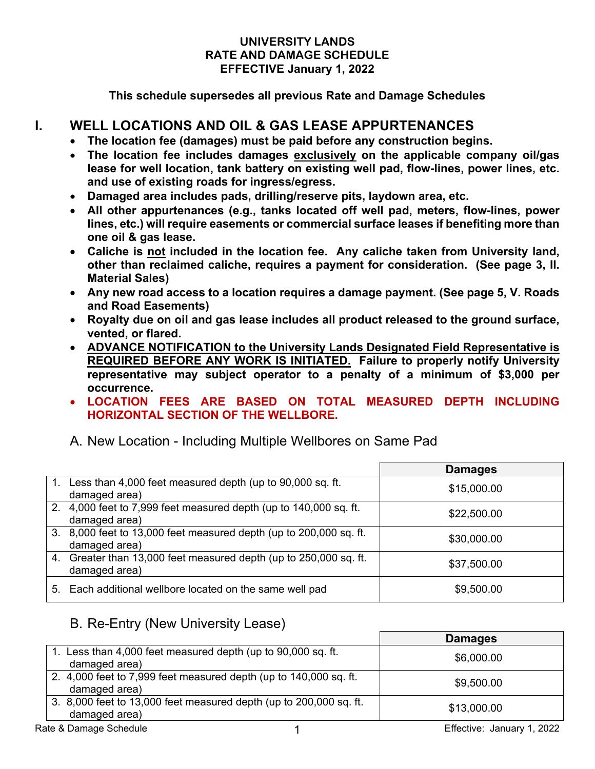#### **UNIVERSITY LANDS RATE AND DAMAGE SCHEDULE EFFECTIVE January 1, 2022**

**This schedule supersedes all previous Rate and Damage Schedules**

# **I. WELL LOCATIONS AND OIL & GAS LEASE APPURTENANCES**

- **The location fee (damages) must be paid before any construction begins.**
- **The location fee includes damages exclusively on the applicable company oil/gas lease for well location, tank battery on existing well pad, flow-lines, power lines, etc. and use of existing roads for ingress/egress.**
- **Damaged area includes pads, drilling/reserve pits, laydown area, etc.**
- **All other appurtenances (e.g., tanks located off well pad, meters, flow-lines, power lines, etc.) will require easements or commercial surface leases if benefiting more than one oil & gas lease.**
- **Caliche is not included in the location fee. Any caliche taken from University land, other than reclaimed caliche, requires a payment for consideration. (See page 3, II. Material Sales)**
- **Any new road access to a location requires a damage payment. (See page 5, V. Roads and Road Easements)**
- **Royalty due on oil and gas lease includes all product released to the ground surface, vented, or flared.**
- **ADVANCE NOTIFICATION to the University Lands Designated Field Representative is REQUIRED BEFORE ANY WORK IS INITIATED. Failure to properly notify University representative may subject operator to a penalty of a minimum of \$3,000 per occurrence.**
- **LOCATION FEES ARE BASED ON TOTAL MEASURED DEPTH INCLUDING HORIZONTAL SECTION OF THE WELLBORE.**

## A. New Location - Including Multiple Wellbores on Same Pad

|                                                                                     | <b>Damages</b> |
|-------------------------------------------------------------------------------------|----------------|
| Less than 4,000 feet measured depth (up to 90,000 sq. ft.<br>damaged area)          | \$15,000.00    |
| 2. 4,000 feet to 7,999 feet measured depth (up to 140,000 sq. ft.<br>damaged area)  | \$22,500.00    |
| 3. 8,000 feet to 13,000 feet measured depth (up to 200,000 sq. ft.<br>damaged area) | \$30,000.00    |
| 4. Greater than 13,000 feet measured depth (up to 250,000 sq. ft.<br>damaged area)  | \$37,500.00    |
| 5. Each additional wellbore located on the same well pad                            | \$9,500.00     |

# B. Re-Entry (New University Lease)

|                                                                                     | <b>Damages</b>             |
|-------------------------------------------------------------------------------------|----------------------------|
| 1. Less than 4,000 feet measured depth (up to 90,000 sq. ft.<br>damaged area)       | \$6,000.00                 |
| 2. 4,000 feet to 7,999 feet measured depth (up to 140,000 sq. ft.<br>damaged area)  | \$9,500.00                 |
| 3. 8,000 feet to 13,000 feet measured depth (up to 200,000 sq. ft.<br>damaged area) | \$13,000.00                |
| Rate & Damage Schedule                                                              | Effective: January 1, 2022 |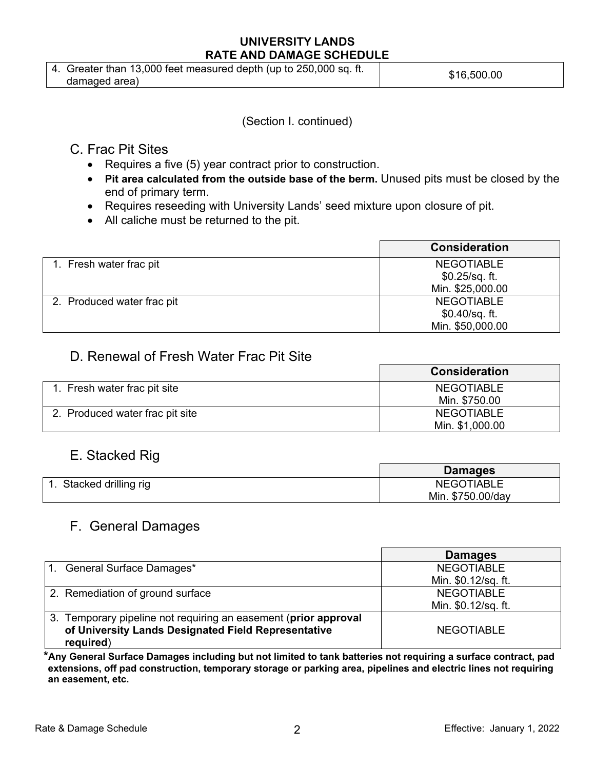| 4. Greater than 13,000 feet measured depth (up to 250,000 sq. ft. | \$16,500.00 |
|-------------------------------------------------------------------|-------------|
| damaded area)                                                     |             |

(Section I. continued)

# C. Frac Pit Sites

- Requires a five (5) year contract prior to construction.
- **Pit area calculated from the outside base of the berm.** Unused pits must be closed by the end of primary term.
- Requires reseeding with University Lands' seed mixture upon closure of pit.
- All caliche must be returned to the pit.

|                            | <b>Consideration</b> |
|----------------------------|----------------------|
| 1. Fresh water frac pit    | <b>NEGOTIABLE</b>    |
|                            | \$0.25/sq. ft.       |
|                            | Min. \$25,000.00     |
| 2. Produced water frac pit | <b>NEGOTIABLE</b>    |
|                            | \$0.40/sq. ft.       |
|                            | Min. \$50,000.00     |

# D. Renewal of Fresh Water Frac Pit Site

|                                 | <b>Consideration</b> |
|---------------------------------|----------------------|
| 1. Fresh water frac pit site    | <b>NEGOTIABLE</b>    |
|                                 | Min. \$750.00        |
| 2. Produced water frac pit site | <b>NEGOTIABLE</b>    |
|                                 | Min. \$1,000.00      |

# E. Stacked Rig

|                      | <b>Damages</b>    |
|----------------------|-------------------|
| Stacked drilling rig | <b>NEGOTIABLE</b> |
|                      | Min. \$750.00/day |

# F. General Damages

|                                                                                                                                     | <b>Damages</b>      |
|-------------------------------------------------------------------------------------------------------------------------------------|---------------------|
| General Surface Damages*<br>$\mathbf{1}$ .                                                                                          | <b>NEGOTIABLE</b>   |
|                                                                                                                                     | Min. \$0.12/sq. ft. |
| 2. Remediation of ground surface                                                                                                    | <b>NEGOTIABLE</b>   |
|                                                                                                                                     | Min. \$0.12/sq. ft. |
| 3. Temporary pipeline not requiring an easement (prior approval<br>of University Lands Designated Field Representative<br>required) | <b>NEGOTIABLE</b>   |

**\*Any General Surface Damages including but not limited to tank batteries not requiring a surface contract, pad extensions, off pad construction, temporary storage or parking area, pipelines and electric lines not requiring an easement, etc.**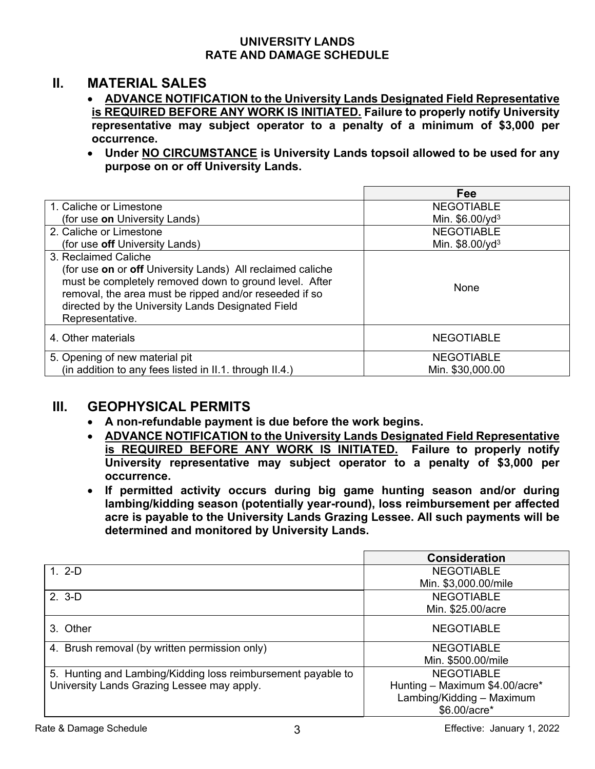## **II. MATERIAL SALES**

- **ADVANCE NOTIFICATION to the University Lands Designated Field Representative is REQUIRED BEFORE ANY WORK IS INITIATED. Failure to properly notify University representative may subject operator to a penalty of a minimum of \$3,000 per occurrence.**
- **Under NO CIRCUMSTANCE is University Lands topsoil allowed to be used for any purpose on or off University Lands.**

|                                                                                                                                                                                                                                                        | Fee                         |
|--------------------------------------------------------------------------------------------------------------------------------------------------------------------------------------------------------------------------------------------------------|-----------------------------|
| 1. Caliche or Limestone                                                                                                                                                                                                                                | <b>NEGOTIABLE</b>           |
| (for use on University Lands)                                                                                                                                                                                                                          | Min. \$6.00/yd <sup>3</sup> |
| 2. Caliche or Limestone                                                                                                                                                                                                                                | <b>NEGOTIABLE</b>           |
| (for use off University Lands)                                                                                                                                                                                                                         | Min. \$8.00/yd <sup>3</sup> |
| 3. Reclaimed Caliche                                                                                                                                                                                                                                   |                             |
| (for use on or off University Lands) All reclaimed caliche<br>must be completely removed down to ground level. After<br>removal, the area must be ripped and/or reseeded if so<br>directed by the University Lands Designated Field<br>Representative. | None                        |
| 4. Other materials                                                                                                                                                                                                                                     | <b>NEGOTIABLE</b>           |
| 5. Opening of new material pit                                                                                                                                                                                                                         | <b>NEGOTIABLE</b>           |
| (in addition to any fees listed in II.1. through II.4.)                                                                                                                                                                                                | Min. \$30,000.00            |

# **III. GEOPHYSICAL PERMITS**

- **A non-refundable payment is due before the work begins.**
- **ADVANCE NOTIFICATION to the University Lands Designated Field Representative is REQUIRED BEFORE ANY WORK IS INITIATED. Failure to properly notify University representative may subject operator to a penalty of \$3,000 per occurrence.**
- **If permitted activity occurs during big game hunting season and/or during lambing/kidding season (potentially year-round), loss reimbursement per affected acre is payable to the University Lands Grazing Lessee. All such payments will be determined and monitored by University Lands.**

|                                                              | <b>Consideration</b>           |
|--------------------------------------------------------------|--------------------------------|
| $1.2-D$                                                      | <b>NEGOTIABLE</b>              |
|                                                              | Min. \$3,000.00/mile           |
| $2.3-D$                                                      | <b>NEGOTIABLE</b>              |
|                                                              | Min. \$25.00/acre              |
| 3. Other                                                     | <b>NEGOTIABLE</b>              |
| 4. Brush removal (by written permission only)                | <b>NEGOTIABLE</b>              |
|                                                              | Min. \$500.00/mile             |
| 5. Hunting and Lambing/Kidding loss reimbursement payable to | <b>NEGOTIABLE</b>              |
| University Lands Grazing Lessee may apply.                   | Hunting - Maximum \$4.00/acre* |
|                                                              | Lambing/Kidding - Maximum      |
|                                                              | \$6.00/acre*                   |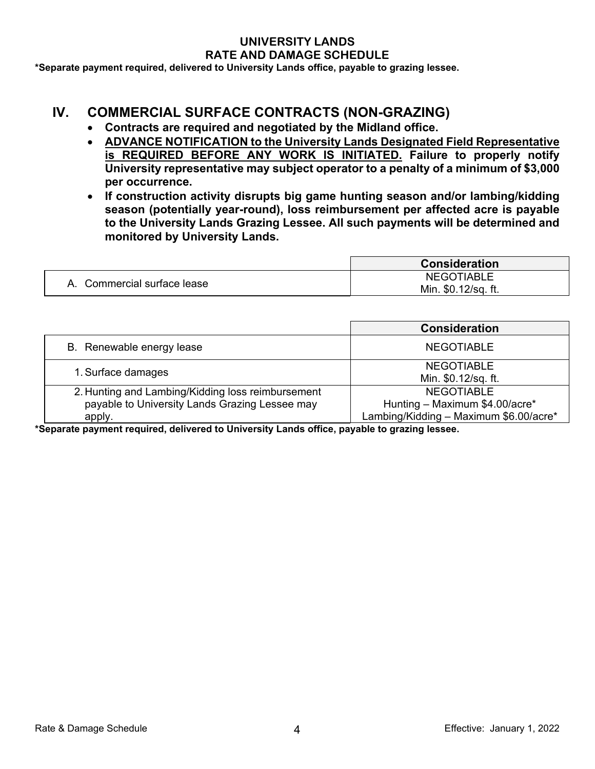**\*Separate payment required, delivered to University Lands office, payable to grazing lessee.**

## **IV. COMMERCIAL SURFACE CONTRACTS (NON-GRAZING)**

- **Contracts are required and negotiated by the Midland office.**
- **ADVANCE NOTIFICATION to the University Lands Designated Field Representative is REQUIRED BEFORE ANY WORK IS INITIATED. Failure to properly notify University representative may subject operator to a penalty of a minimum of \$3,000 per occurrence.**
- **If construction activity disrupts big game hunting season and/or lambing/kidding season (potentially year-round), loss reimbursement per affected acre is payable to the University Lands Grazing Lessee. All such payments will be determined and monitored by University Lands.**

|                             | <b>Consideration</b> |
|-----------------------------|----------------------|
| A. Commercial surface lease | <b>NEGOTIABLE</b>    |
|                             | Min. \$0.12/sq. ft.  |

|                                                                                                               | <b>Consideration</b>                                                                          |
|---------------------------------------------------------------------------------------------------------------|-----------------------------------------------------------------------------------------------|
| B. Renewable energy lease                                                                                     | <b>NEGOTIABLE</b>                                                                             |
| 1. Surface damages                                                                                            | <b>NEGOTIABLE</b><br>Min. \$0.12/sq. ft.                                                      |
| 2. Hunting and Lambing/Kidding loss reimbursement<br>payable to University Lands Grazing Lessee may<br>apply. | <b>NEGOTIABLE</b><br>Hunting - Maximum \$4.00/acre*<br>Lambing/Kidding - Maximum \$6.00/acre* |

**\*Separate payment required, delivered to University Lands office, payable to grazing lessee.**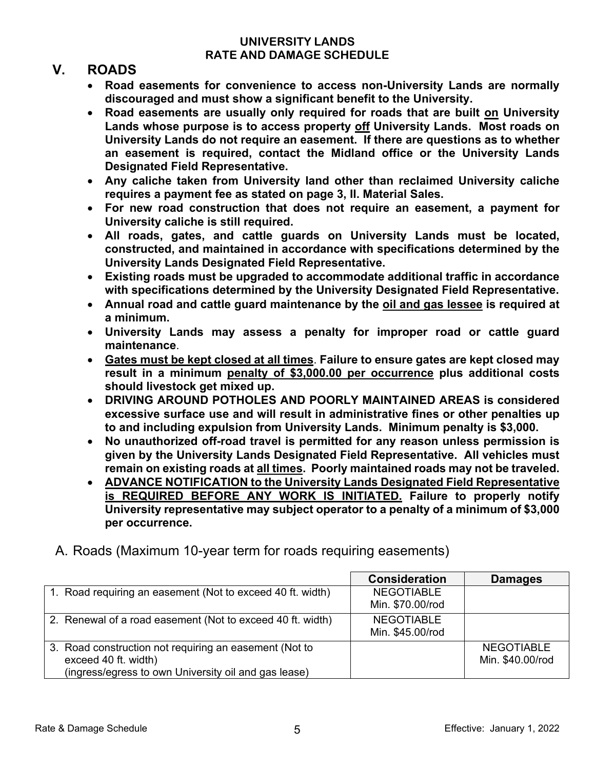# **V. ROADS**

- **Road easements for convenience to access non-University Lands are normally discouraged and must show a significant benefit to the University.**
- **Road easements are usually only required for roads that are built on University Lands whose purpose is to access property off University Lands. Most roads on University Lands do not require an easement. If there are questions as to whether an easement is required, contact the Midland office or the University Lands Designated Field Representative.**
- **Any caliche taken from University land other than reclaimed University caliche requires a payment fee as stated on page 3, II. Material Sales.**
- **For new road construction that does not require an easement, a payment for University caliche is still required.**
- **All roads, gates, and cattle guards on University Lands must be located, constructed, and maintained in accordance with specifications determined by the University Lands Designated Field Representative.**
- **Existing roads must be upgraded to accommodate additional traffic in accordance with specifications determined by the University Designated Field Representative.**
- **Annual road and cattle guard maintenance by the oil and gas lessee is required at a minimum.**
- **University Lands may assess a penalty for improper road or cattle guard maintenance**.
- **Gates must be kept closed at all times**. **Failure to ensure gates are kept closed may result in a minimum penalty of \$3,000.00 per occurrence plus additional costs should livestock get mixed up.**
- **DRIVING AROUND POTHOLES AND POORLY MAINTAINED AREAS is considered excessive surface use and will result in administrative fines or other penalties up to and including expulsion from University Lands. Minimum penalty is \$3,000.**
- **No unauthorized off-road travel is permitted for any reason unless permission is given by the University Lands Designated Field Representative. All vehicles must remain on existing roads at all times. Poorly maintained roads may not be traveled.**
- **ADVANCE NOTIFICATION to the University Lands Designated Field Representative is REQUIRED BEFORE ANY WORK IS INITIATED. Failure to properly notify University representative may subject operator to a penalty of a minimum of \$3,000 per occurrence.**
- A. Roads (Maximum 10-year term for roads requiring easements)

|                                                                                                                                        | <b>Consideration</b>                  | <b>Damages</b>                        |
|----------------------------------------------------------------------------------------------------------------------------------------|---------------------------------------|---------------------------------------|
| 1. Road requiring an easement (Not to exceed 40 ft. width)                                                                             | <b>NEGOTIABLE</b><br>Min. \$70.00/rod |                                       |
| 2. Renewal of a road easement (Not to exceed 40 ft. width)                                                                             | <b>NEGOTIABLE</b><br>Min. \$45.00/rod |                                       |
| 3. Road construction not requiring an easement (Not to<br>exceed 40 ft. width)<br>(ingress/egress to own University oil and gas lease) |                                       | <b>NEGOTIABLE</b><br>Min. \$40.00/rod |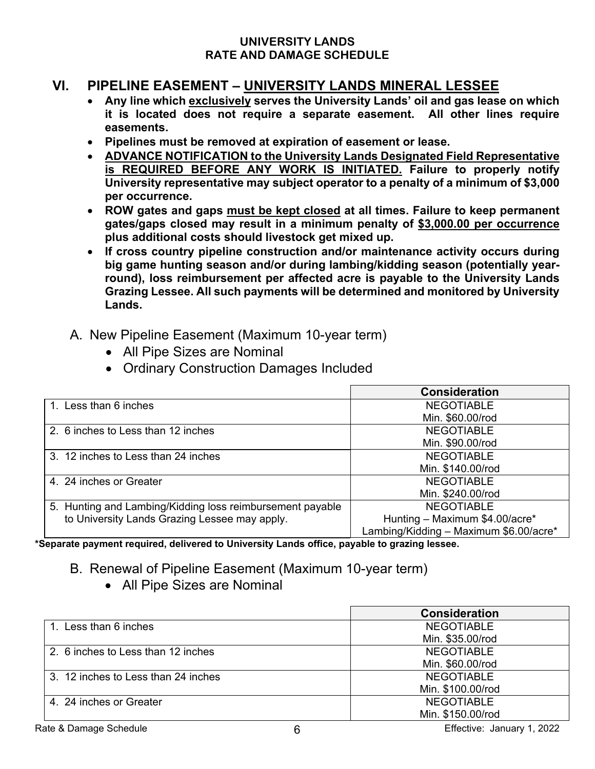# **VI. PIPELINE EASEMENT – UNIVERSITY LANDS MINERAL LESSEE**

- **Any line which exclusively serves the University Lands' oil and gas lease on which it is located does not require a separate easement. All other lines require easements.**
- **Pipelines must be removed at expiration of easement or lease.**
- **ADVANCE NOTIFICATION to the University Lands Designated Field Representative is REQUIRED BEFORE ANY WORK IS INITIATED. Failure to properly notify University representative may subject operator to a penalty of a minimum of \$3,000 per occurrence.**
- **ROW gates and gaps must be kept closed at all times. Failure to keep permanent gates/gaps closed may result in a minimum penalty of \$3,000.00 per occurrence plus additional costs should livestock get mixed up.**
- **If cross country pipeline construction and/or maintenance activity occurs during big game hunting season and/or during lambing/kidding season (potentially yearround), loss reimbursement per affected acre is payable to the University Lands Grazing Lessee. All such payments will be determined and monitored by University Lands.**
- A. New Pipeline Easement (Maximum 10-year term)
	- All Pipe Sizes are Nominal
	- Ordinary Construction Damages Included

|                                                           | <b>Consideration</b>                   |
|-----------------------------------------------------------|----------------------------------------|
| 1. Less than 6 inches                                     | <b>NEGOTIABLE</b>                      |
|                                                           | Min. \$60.00/rod                       |
| 2. 6 inches to Less than 12 inches                        | <b>NEGOTIABLE</b>                      |
|                                                           | Min. \$90.00/rod                       |
| 3. 12 inches to Less than 24 inches                       | <b>NEGOTIABLE</b>                      |
|                                                           | Min. \$140.00/rod                      |
| 4. 24 inches or Greater                                   | <b>NEGOTIABLE</b>                      |
|                                                           | Min. \$240.00/rod                      |
| 5. Hunting and Lambing/Kidding loss reimbursement payable | <b>NEGOTIABLE</b>                      |
| to University Lands Grazing Lessee may apply.             | Hunting - Maximum \$4.00/acre*         |
|                                                           | Lambing/Kidding - Maximum \$6.00/acre* |

**\*Separate payment required, delivered to University Lands office, payable to grazing lessee.**

- B. Renewal of Pipeline Easement (Maximum 10-year term)
	- All Pipe Sizes are Nominal

|                                     | <b>Consideration</b> |
|-------------------------------------|----------------------|
| 1. Less than 6 inches               | <b>NEGOTIABLE</b>    |
|                                     | Min. \$35.00/rod     |
| 2. 6 inches to Less than 12 inches  | <b>NEGOTIABLE</b>    |
|                                     | Min. \$60.00/rod     |
| 3. 12 inches to Less than 24 inches | <b>NEGOTIABLE</b>    |
|                                     | Min. \$100.00/rod    |
| 4. 24 inches or Greater             | <b>NEGOTIABLE</b>    |
|                                     | Min. \$150.00/rod    |

Rate & Damage Schedule **6 Effective: January 1, 2022**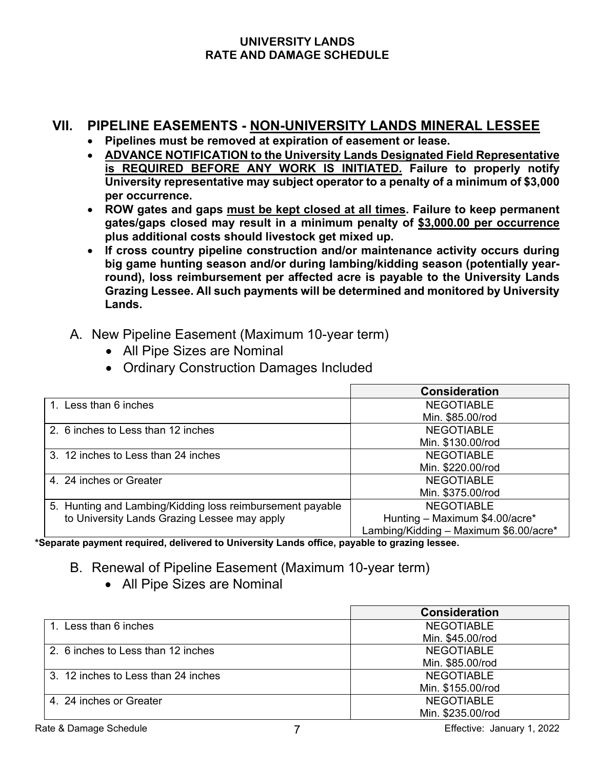# **VII. PIPELINE EASEMENTS - NON-UNIVERSITY LANDS MINERAL LESSEE**

- **Pipelines must be removed at expiration of easement or lease.**
- **ADVANCE NOTIFICATION to the University Lands Designated Field Representative is REQUIRED BEFORE ANY WORK IS INITIATED. Failure to properly notify University representative may subject operator to a penalty of a minimum of \$3,000 per occurrence.**
- **ROW gates and gaps must be kept closed at all times. Failure to keep permanent gates/gaps closed may result in a minimum penalty of \$3,000.00 per occurrence plus additional costs should livestock get mixed up.**
- **If cross country pipeline construction and/or maintenance activity occurs during big game hunting season and/or during lambing/kidding season (potentially yearround), loss reimbursement per affected acre is payable to the University Lands Grazing Lessee. All such payments will be determined and monitored by University Lands.**
- A. New Pipeline Easement (Maximum 10-year term)
	- All Pipe Sizes are Nominal
	- Ordinary Construction Damages Included

|                                                           | <b>Consideration</b>                   |
|-----------------------------------------------------------|----------------------------------------|
| 1. Less than 6 inches                                     | <b>NEGOTIABLE</b>                      |
|                                                           | Min. \$85.00/rod                       |
| 2. 6 inches to Less than 12 inches                        | <b>NEGOTIABLE</b>                      |
|                                                           | Min. \$130.00/rod                      |
| 3. 12 inches to Less than 24 inches                       | <b>NEGOTIABLE</b>                      |
|                                                           | Min. \$220.00/rod                      |
| 4. 24 inches or Greater                                   | <b>NEGOTIABLE</b>                      |
|                                                           | Min. \$375.00/rod                      |
| 5. Hunting and Lambing/Kidding loss reimbursement payable | <b>NEGOTIABLE</b>                      |
| to University Lands Grazing Lessee may apply              | Hunting - Maximum \$4.00/acre*         |
|                                                           | Lambing/Kidding - Maximum \$6.00/acre* |

**\*Separate payment required, delivered to University Lands office, payable to grazing lessee.**

- B. Renewal of Pipeline Easement (Maximum 10-year term)
	- All Pipe Sizes are Nominal

|                                     | <b>Consideration</b> |
|-------------------------------------|----------------------|
| 1. Less than 6 inches               | <b>NEGOTIABLE</b>    |
|                                     | Min. \$45.00/rod     |
| 2. 6 inches to Less than 12 inches  | <b>NEGOTIABLE</b>    |
|                                     | Min. \$85.00/rod     |
| 3. 12 inches to Less than 24 inches | <b>NEGOTIABLE</b>    |
|                                     | Min. \$155.00/rod    |
| 4. 24 inches or Greater             | <b>NEGOTIABLE</b>    |
|                                     | Min. \$235.00/rod    |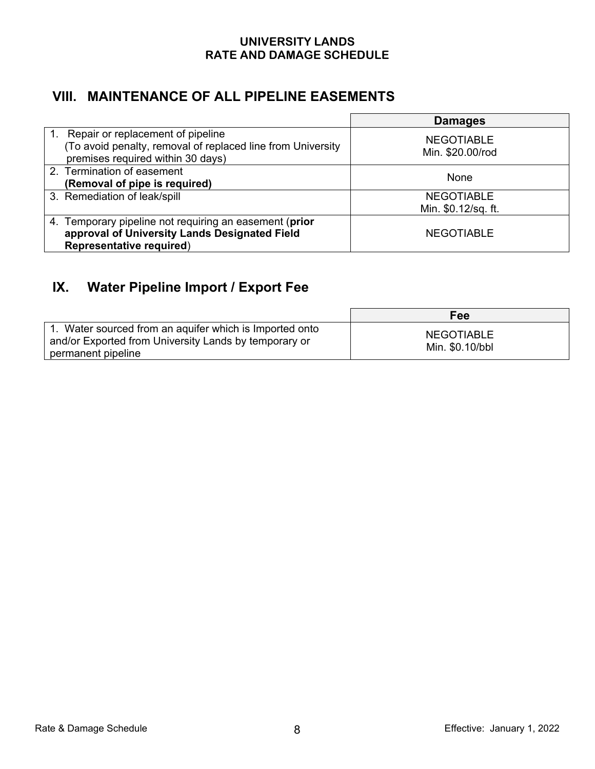# **VIII. MAINTENANCE OF ALL PIPELINE EASEMENTS**

|                                                                                                                                             | <b>Damages</b>                        |
|---------------------------------------------------------------------------------------------------------------------------------------------|---------------------------------------|
| Repair or replacement of pipeline<br>1.<br>(To avoid penalty, removal of replaced line from University<br>premises required within 30 days) | <b>NEGOTIABLE</b><br>Min. \$20.00/rod |
| 2. Termination of easement<br>(Removal of pipe is required)                                                                                 | None                                  |
| 3. Remediation of leak/spill                                                                                                                | <b>NEGOTIABLE</b>                     |
|                                                                                                                                             | Min. \$0.12/sq. ft.                   |
| 4. Temporary pipeline not requiring an easement (prior<br>approval of University Lands Designated Field<br><b>Representative required)</b>  | <b>NEGOTIABLE</b>                     |

# **IX. Water Pipeline Import / Export Fee**

|                                                                                                                                        | Fee                                  |
|----------------------------------------------------------------------------------------------------------------------------------------|--------------------------------------|
| 1. Water sourced from an aquifer which is Imported onto<br>and/or Exported from University Lands by temporary or<br>permanent pipeline | <b>NEGOTIABLE</b><br>Min. \$0.10/bbl |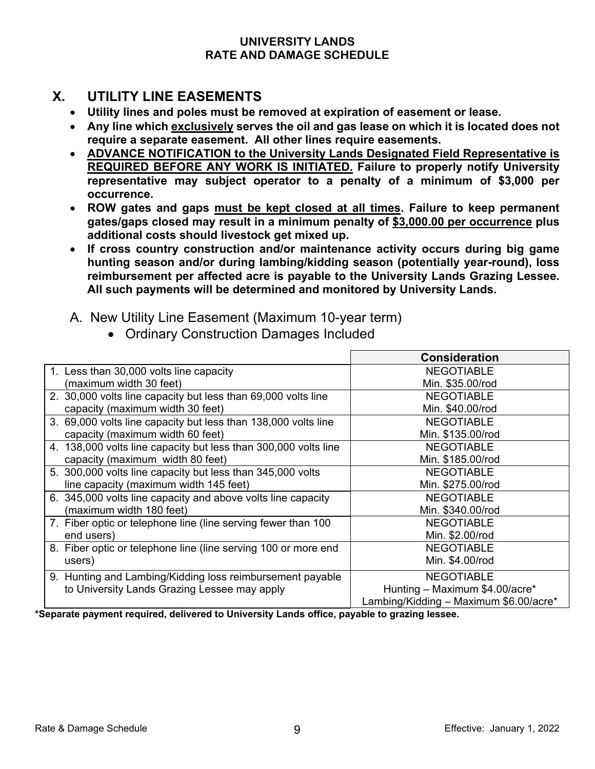# **X. UTILITY LINE EASEMENTS**

- **Utility lines and poles must be removed at expiration of easement or lease.**
- **Any line which exclusively serves the oil and gas lease on which it is located does not require a separate easement. All other lines require easements.**
- **ADVANCE NOTIFICATION to the University Lands Designated Field Representative is REQUIRED BEFORE ANY WORK IS INITIATED. Failure to properly notify University representative may subject operator to a penalty of a minimum of \$3,000 per occurrence.**
- **ROW gates and gaps must be kept closed at all times. Failure to keep permanent gates/gaps closed may result in a minimum penalty of \$3,000.00 per occurrence plus additional costs should livestock get mixed up.**
- **If cross country construction and/or maintenance activity occurs during big game hunting season and/or during lambing/kidding season (potentially year-round), loss reimbursement per affected acre is payable to the University Lands Grazing Lessee. All such payments will be determined and monitored by University Lands.**
- A. New Utility Line Easement (Maximum 10-year term)

|                                                                 | <b>Consideration</b>                   |
|-----------------------------------------------------------------|----------------------------------------|
| 1. Less than 30,000 volts line capacity                         | <b>NEGOTIABLE</b>                      |
| (maximum width 30 feet)                                         | Min. \$35.00/rod                       |
| 2. 30,000 volts line capacity but less than 69,000 volts line   | <b>NEGOTIABLE</b>                      |
| capacity (maximum width 30 feet)                                | Min. \$40.00/rod                       |
| 3. 69,000 volts line capacity but less than 138,000 volts line  | <b>NEGOTIABLE</b>                      |
| capacity (maximum width 60 feet)                                | Min. \$135.00/rod                      |
| 4. 138,000 volts line capacity but less than 300,000 volts line | <b>NEGOTIABLE</b>                      |
| capacity (maximum width 80 feet)                                | Min. \$185.00/rod                      |
| 5. 300,000 volts line capacity but less than 345,000 volts      | <b>NEGOTIABLE</b>                      |
| line capacity (maximum width 145 feet)                          | Min. \$275.00/rod                      |
| 6. 345,000 volts line capacity and above volts line capacity    | <b>NEGOTIABLE</b>                      |
| (maximum width 180 feet)                                        | Min. \$340.00/rod                      |
| 7. Fiber optic or telephone line (line serving fewer than 100   | <b>NEGOTIABLE</b>                      |
| end users)                                                      | Min. \$2.00/rod                        |
| 8. Fiber optic or telephone line (line serving 100 or more end  | <b>NEGOTIABLE</b>                      |
| users)                                                          | Min. \$4.00/rod                        |
| 9. Hunting and Lambing/Kidding loss reimbursement payable       | <b>NEGOTIABLE</b>                      |
| to University Lands Grazing Lessee may apply                    | Hunting - Maximum \$4.00/acre*         |
|                                                                 | Lambing/Kidding - Maximum \$6.00/acre* |

• Ordinary Construction Damages Included

**\*Separate payment required, delivered to University Lands office, payable to grazing lessee.**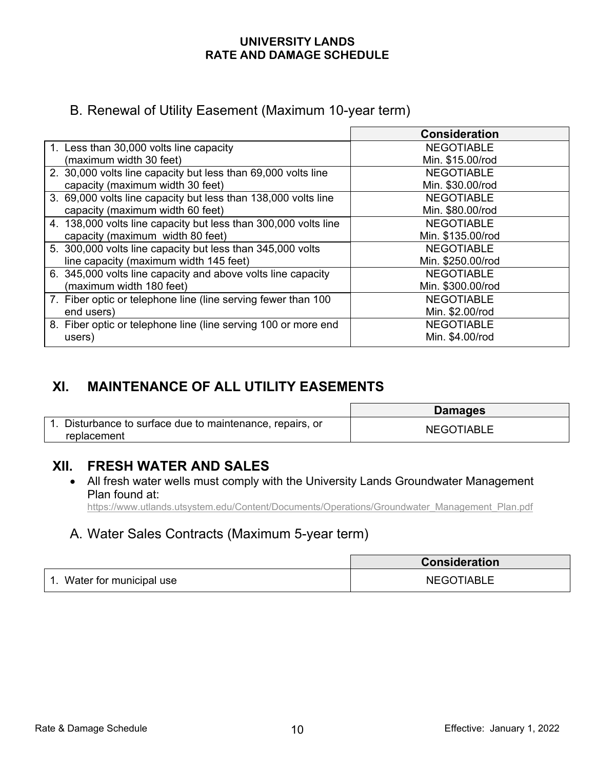# B. Renewal of Utility Easement (Maximum 10-year term)

|                                                                 | <b>Consideration</b> |
|-----------------------------------------------------------------|----------------------|
| 1. Less than 30,000 volts line capacity                         | <b>NEGOTIABLE</b>    |
| (maximum width 30 feet)                                         | Min. \$15.00/rod     |
| 2. 30,000 volts line capacity but less than 69,000 volts line   | <b>NEGOTIABLE</b>    |
| capacity (maximum width 30 feet)                                | Min. \$30.00/rod     |
| 3. 69,000 volts line capacity but less than 138,000 volts line  | <b>NEGOTIABLE</b>    |
| capacity (maximum width 60 feet)                                | Min. \$80.00/rod     |
| 4. 138,000 volts line capacity but less than 300,000 volts line | <b>NEGOTIABLE</b>    |
| capacity (maximum width 80 feet)                                | Min. \$135.00/rod    |
| 5. 300,000 volts line capacity but less than 345,000 volts      | <b>NEGOTIABLE</b>    |
| line capacity (maximum width 145 feet)                          | Min. \$250.00/rod    |
| 6. 345,000 volts line capacity and above volts line capacity    | <b>NEGOTIABLE</b>    |
| (maximum width 180 feet)                                        | Min. \$300.00/rod    |
| 7. Fiber optic or telephone line (line serving fewer than 100   | <b>NEGOTIABLE</b>    |
| end users)                                                      | Min. \$2.00/rod      |
| 8. Fiber optic or telephone line (line serving 100 or more end  | <b>NEGOTIABLE</b>    |
| users)                                                          | Min. \$4.00/rod      |

# **XI. MAINTENANCE OF ALL UTILITY EASEMENTS**

|                                                                       | <b>Damages</b>    |
|-----------------------------------------------------------------------|-------------------|
| Disturbance to surface due to maintenance, repairs, or<br>replacement | <b>NEGOTIABLE</b> |

# **XII. FRESH WATER AND SALES**

• All fresh water wells must comply with the University Lands Groundwater Management Plan found at:

[https://www.utlands.utsystem.edu/Content/Documents/Operations/Groundwater\\_Management\\_Plan.pdf](https://www.utlands.utsystem.edu/Content/Documents/Operations/Groundwater_Management_Plan.pdf)

# A. Water Sales Contracts (Maximum 5-year term)

|                         | <b>Consideration</b> |
|-------------------------|----------------------|
| Water for municipal use | <b>NEGOTIABLE</b>    |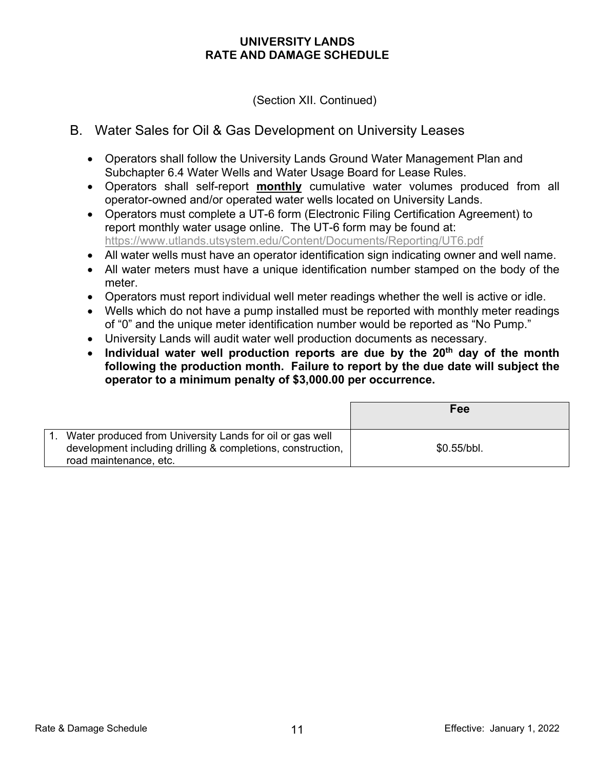(Section XII. Continued)

## B. Water Sales for Oil & Gas Development on University Leases

- Operators shall follow the University Lands Ground Water Management Plan and Subchapter 6.4 Water Wells and Water Usage Board for Lease Rules.
- Operators shall self-report **monthly** cumulative water volumes produced from all operator-owned and/or operated water wells located on University Lands.
- Operators must complete a UT-6 form (Electronic Filing Certification Agreement) to report monthly water usage online. The UT-6 form may be found at: <https://www.utlands.utsystem.edu/Content/Documents/Reporting/UT6.pdf>
- All water wells must have an operator identification sign indicating owner and well name.
- All water meters must have a unique identification number stamped on the body of the meter.
- Operators must report individual well meter readings whether the well is active or idle.
- Wells which do not have a pump installed must be reported with monthly meter readings of "0" and the unique meter identification number would be reported as "No Pump."
- University Lands will audit water well production documents as necessary.
- Individual water well production reports are due by the 20<sup>th</sup> day of the month **following the production month. Failure to report by the due date will subject the operator to a minimum penalty of \$3,000.00 per occurrence.**

|                                                                                                                         | <b>Fee</b>  |
|-------------------------------------------------------------------------------------------------------------------------|-------------|
| Water produced from University Lands for oil or gas well<br>development including drilling & completions, construction, | \$0.55/bbl. |
| road maintenance, etc.                                                                                                  |             |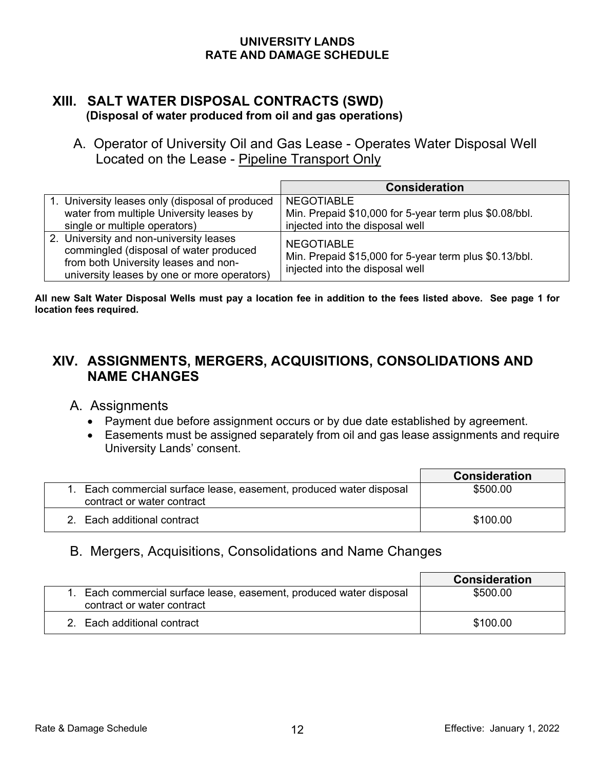### **XIII. SALT WATER DISPOSAL CONTRACTS (SWD) (Disposal of water produced from oil and gas operations)**

 A. Operator of University Oil and Gas Lease - Operates Water Disposal Well Located on the Lease - Pipeline Transport Only

|                                                                                                                                                                          | <b>Consideration</b>                                                                                           |
|--------------------------------------------------------------------------------------------------------------------------------------------------------------------------|----------------------------------------------------------------------------------------------------------------|
| 1. University leases only (disposal of produced<br>water from multiple University leases by<br>single or multiple operators)                                             | <b>NEGOTIABLE</b><br>Min. Prepaid \$10,000 for 5-year term plus \$0.08/bbl.<br>injected into the disposal well |
| 2. University and non-university leases<br>commingled (disposal of water produced<br>from both University leases and non-<br>university leases by one or more operators) | <b>NEGOTIABLE</b><br>Min. Prepaid \$15,000 for 5-year term plus \$0.13/bbl.<br>injected into the disposal well |

**All new Salt Water Disposal Wells must pay a location fee in addition to the fees listed above. See page 1 for location fees required.**

# **XIV. ASSIGNMENTS, MERGERS, ACQUISITIONS, CONSOLIDATIONS AND NAME CHANGES**

- A. Assignments
	- Payment due before assignment occurs or by due date established by agreement.
	- Easements must be assigned separately from oil and gas lease assignments and require University Lands' consent.

|                                                                                                   | <b>Consideration</b> |
|---------------------------------------------------------------------------------------------------|----------------------|
| 1. Each commercial surface lease, easement, produced water disposal<br>contract or water contract | \$500.00             |
| 2. Each additional contract                                                                       | \$100.00             |

## B. Mergers, Acquisitions, Consolidations and Name Changes

|                                                                                                   | <b>Consideration</b> |
|---------------------------------------------------------------------------------------------------|----------------------|
| 1. Each commercial surface lease, easement, produced water disposal<br>contract or water contract | \$500.00             |
| 2. Each additional contract                                                                       | \$100.00             |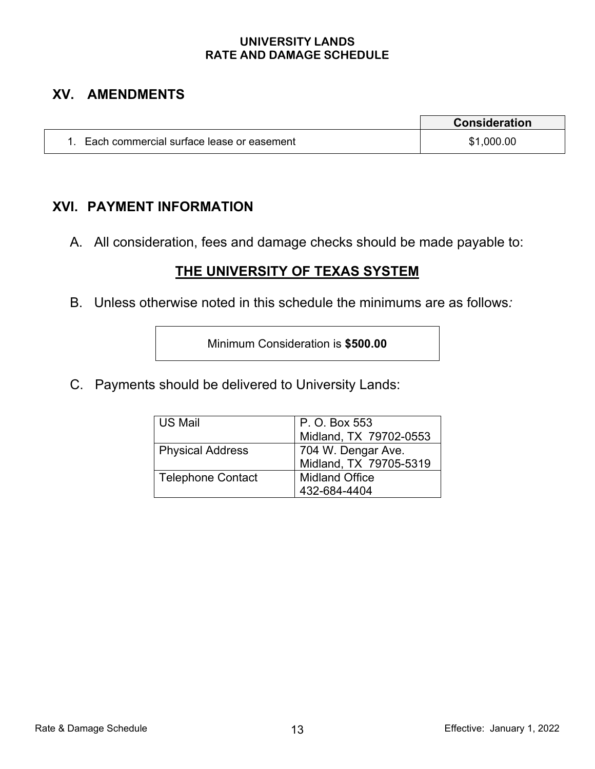# **XV. AMENDMENTS**

|                                           | <b>Consideration</b> |
|-------------------------------------------|----------------------|
| Each commercial surface lease or easement | \$1,000.00           |

# **XVI. PAYMENT INFORMATION**

A. All consideration, fees and damage checks should be made payable to:

# **THE UNIVERSITY OF TEXAS SYSTEM**

B. Unless otherwise noted in this schedule the minimums are as follows*:*

Minimum Consideration is **\$500.00**

C. Payments should be delivered to University Lands:

| US Mail                  | P. O. Box 553<br>Midland, TX 79702-0553      |
|--------------------------|----------------------------------------------|
| <b>Physical Address</b>  | 704 W. Dengar Ave.<br>Midland, TX 79705-5319 |
| <b>Telephone Contact</b> | <b>Midland Office</b><br>432-684-4404        |